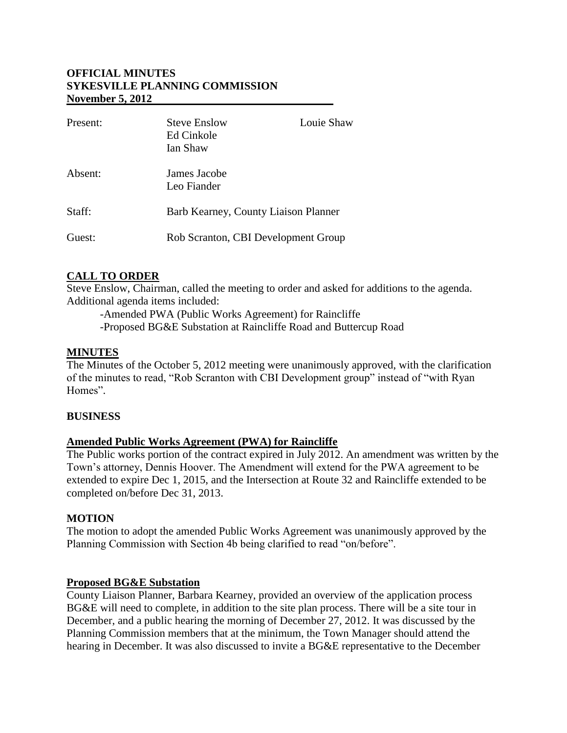## **OFFICIAL MINUTES SYKESVILLE PLANNING COMMISSION November 5, 2012**

| Present: | <b>Steve Enslow</b><br>Ed Cinkole<br>Ian Shaw | Louie Shaw |
|----------|-----------------------------------------------|------------|
| Absent:  | James Jacobe<br>Leo Fiander                   |            |
| Staff:   | Barb Kearney, County Liaison Planner          |            |
| Guest:   | Rob Scranton, CBI Development Group           |            |

### **CALL TO ORDER**

Steve Enslow, Chairman, called the meeting to order and asked for additions to the agenda. Additional agenda items included:

-Amended PWA (Public Works Agreement) for Raincliffe -Proposed BG&E Substation at Raincliffe Road and Buttercup Road

### **MINUTES**

The Minutes of the October 5, 2012 meeting were unanimously approved, with the clarification of the minutes to read, "Rob Scranton with CBI Development group" instead of "with Ryan Homes".

### **BUSINESS**

## **Amended Public Works Agreement (PWA) for Raincliffe**

The Public works portion of the contract expired in July 2012. An amendment was written by the Town's attorney, Dennis Hoover. The Amendment will extend for the PWA agreement to be extended to expire Dec 1, 2015, and the Intersection at Route 32 and Raincliffe extended to be completed on/before Dec 31, 2013.

## **MOTION**

The motion to adopt the amended Public Works Agreement was unanimously approved by the Planning Commission with Section 4b being clarified to read "on/before".

#### **Proposed BG&E Substation**

County Liaison Planner, Barbara Kearney, provided an overview of the application process BG&E will need to complete, in addition to the site plan process. There will be a site tour in December, and a public hearing the morning of December 27, 2012. It was discussed by the Planning Commission members that at the minimum, the Town Manager should attend the hearing in December. It was also discussed to invite a BG&E representative to the December